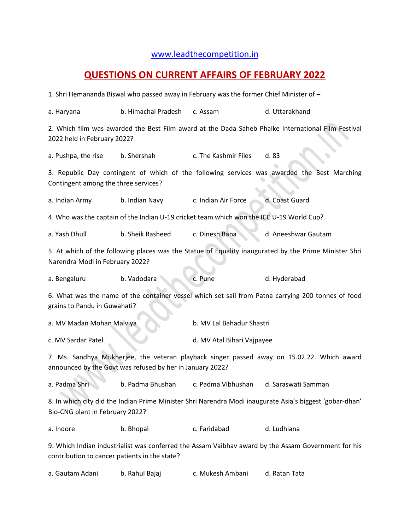## [www.leadthecompetition.in](http://www.leadthecompetition.in/)

## **QUESTIONS ON CURRENT AFFAIRS OF FEBRUARY 2022**

1. Shri Hemananda Biswal who passed away in February was the former Chief Minister of –

| a. Haryana                                                                                                                                              | b. Himachal Pradesh | c. Assam                   | d. Uttarakhand      |  |  |
|---------------------------------------------------------------------------------------------------------------------------------------------------------|---------------------|----------------------------|---------------------|--|--|
| 2. Which film was awarded the Best Film award at the Dada Saheb Phalke International Film Festival<br>2022 held in February 2022?                       |                     |                            |                     |  |  |
| a. Pushpa, the rise                                                                                                                                     | b. Shershah         | c. The Kashmir Files       | d. 83               |  |  |
| 3. Republic Day contingent of which of the following services was awarded the Best Marching<br>Contingent among the three services?                     |                     |                            |                     |  |  |
| a. Indian Army                                                                                                                                          | b. Indian Navy      | c. Indian Air Force        | d. Coast Guard      |  |  |
| 4. Who was the captain of the Indian U-19 cricket team which won the ICC U-19 World Cup?                                                                |                     |                            |                     |  |  |
| a. Yash Dhull                                                                                                                                           | b. Sheik Rasheed    | c. Dinesh Bana             | d. Aneeshwar Gautam |  |  |
| 5. At which of the following places was the Statue of Equality inaugurated by the Prime Minister Shri<br>Narendra Modi in February 2022?                |                     |                            |                     |  |  |
| a. Bengaluru                                                                                                                                            | b. Vadodara         | c. Pune                    | d. Hyderabad        |  |  |
| 6. What was the name of the container vessel which set sail from Patna carrying 200 tonnes of food<br>grains to Pandu in Guwahati?                      |                     |                            |                     |  |  |
| a. MV Madan Mohan Malviya                                                                                                                               |                     | b. MV Lal Bahadur Shastri  |                     |  |  |
| c. MV Sardar Patel                                                                                                                                      |                     | d. MV Atal Bihari Vajpayee |                     |  |  |
| 7. Ms. Sandhya Mukherjee, the veteran playback singer passed away on 15.02.22. Which award<br>announced by the Govt was refused by her in January 2022? |                     |                            |                     |  |  |
| a. Padma Shri                                                                                                                                           | b. Padma Bhushan    | c. Padma Vibhushan         | d. Saraswati Samman |  |  |
| 8. In which city did the Indian Prime Minister Shri Narendra Modi inaugurate Asia's biggest 'gobar-dhan'<br>Bio-CNG plant in February 2022?             |                     |                            |                     |  |  |
| a. Indore                                                                                                                                               | b. Bhopal           | c. Faridabad               | d. Ludhiana         |  |  |
| 9. Which Indian industrialist was conferred the Assam Vaibhav award by the Assam Government for his<br>contribution to cancer patients in the state?    |                     |                            |                     |  |  |

| a. Gautam Adani | b. Rahul Bajaj | c. Mukesh Ambani | d. Ratan Tata |
|-----------------|----------------|------------------|---------------|
|-----------------|----------------|------------------|---------------|